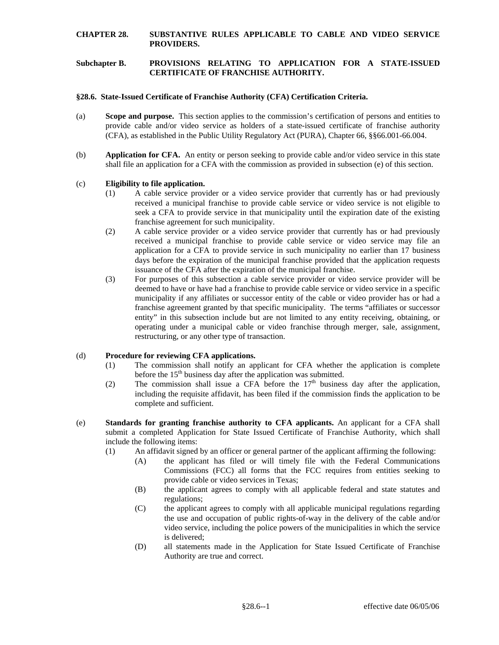# **CHAPTER 28. SUBSTANTIVE RULES APPLICABLE TO CABLE AND VIDEO SERVICE PROVIDERS.**

### **Subchapter B. PROVISIONS RELATING TO APPLICATION FOR A STATE-ISSUED CERTIFICATE OF FRANCHISE AUTHORITY.**

### **§28.6. State-Issued Certificate of Franchise Authority (CFA) Certification Criteria.**

- (a) **Scope and purpose.** This section applies to the commission's certification of persons and entities to provide cable and/or video service as holders of a state-issued certificate of franchise authority (CFA), as established in the Public Utility Regulatory Act (PURA), Chapter 66, §§66.001-66.004.
- (b) **Application for CFA.** An entity or person seeking to provide cable and/or video service in this state shall file an application for a CFA with the commission as provided in subsection (e) of this section.

### (c) **Eligibility to file application.**

- (1) A cable service provider or a video service provider that currently has or had previously received a municipal franchise to provide cable service or video service is not eligible to seek a CFA to provide service in that municipality until the expiration date of the existing franchise agreement for such municipality.
- application for a CFA to provide service in such municipality no earlier than 17 business (2) A cable service provider or a video service provider that currently has or had previously received a municipal franchise to provide cable service or video service may file an days before the expiration of the municipal franchise provided that the application requests issuance of the CFA after the expiration of the municipal franchise.
- (3) For purposes of this subsection a cable service provider or video service provider will be deemed to have or have had a franchise to provide cable service or video service in a specific municipality if any affiliates or successor entity of the cable or video provider has or had a franchise agreement granted by that specific municipality. The terms "affiliates or successor entity" in this subsection include but are not limited to any entity receiving, obtaining, or operating under a municipal cable or video franchise through merger, sale, assignment, restructuring, or any other type of transaction.

# (d) **Procedure for reviewing CFA applications.**

- (1) The commission shall notify an applicant for CFA whether the application is complete before the  $15<sup>th</sup>$  business day after the application was submitted.
- (2) The commission shall issue a CFA before the  $17<sup>th</sup>$  business day after the application, including the requisite affidavit, has been filed if the commission finds the application to be complete and sufficient.
- submit a completed Application for State Issued Certificate of Franchise Authority, which shall (e) **Standards for granting franchise authority to CFA applicants.** An applicant for a CFA shall include the following items:
	- (1) An affidavit signed by an officer or general partner of the applicant affirming the following:
		- Commissions (FCC) all forms that the FCC requires from entities seeking to (A) the applicant has filed or will timely file with the Federal Communications provide cable or video services in Texas;
		- (B) the applicant agrees to comply with all applicable federal and state statutes and regulations;
		- (C) the applicant agrees to comply with all applicable municipal regulations regarding the use and occupation of public rights-of-way in the delivery of the cable and/or video service, including the police powers of the municipalities in which the service is delivered;
		- (D) all statements made in the Application for State Issued Certificate of Franchise Authority are true and correct.